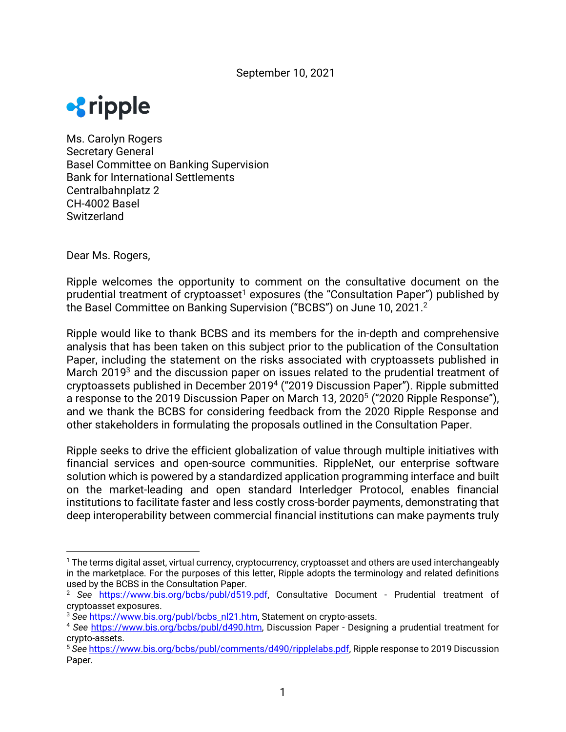

Ms. Carolyn Rogers Secretary General Basel Committee on Banking Supervision Bank for International Settlements Centralbahnplatz 2 CH-4002 Basel **Switzerland** 

Dear Ms. Rogers,

Ripple welcomes the opportunity to comment on the consultative document on the prudential treatment of cryptoasset<sup>1</sup> exposures (the "Consultation Paper") published by the Basel Committee on Banking Supervision ("BCBS") on June 10, 2021.<sup>2</sup>

Ripple would like to thank BCBS and its members for the in-depth and comprehensive analysis that has been taken on this subject prior to the publication of the Consultation Paper, including the statement on the risks associated with cryptoassets published in March 2019<sup>3</sup> and the discussion paper on issues related to the prudential treatment of cryptoassets published in December 20194 ("2019 Discussion Paper"). Ripple submitted a response to the 2019 Discussion Paper on March 13, 2020<sup>5</sup> ("2020 Ripple Response"), and we thank the BCBS for considering feedback from the 2020 Ripple Response and other stakeholders in formulating the proposals outlined in the Consultation Paper.

Ripple seeks to drive the efficient globalization of value through multiple initiatives with financial services and open-source communities. RippleNet, our enterprise software solution which is powered by a standardized application programming interface and built on the market-leading and open standard Interledger Protocol, enables financial institutions to facilitate faster and less costly cross-border payments, demonstrating that deep interoperability between commercial financial institutions can make payments truly

<sup>&</sup>lt;sup>1</sup> The terms digital asset, virtual currency, cryptocurrency, cryptoasset and others are used interchangeably in the marketplace. For the purposes of this letter, Ripple adopts the terminology and related definitions used by the BCBS in the Consultation Paper.

<sup>&</sup>lt;sup>2</sup> See https://www.bis.org/bcbs/publ/d519.pdf, Consultative Document - Prudential treatment of cryptoasset exposures.<br><sup>3</sup> See https://www.bis.org/publ/bcbs\_nl21.htm, Statement on crypto-assets.

<sup>&</sup>lt;sup>4</sup> See https://www.bis.org/bcbs/publ/d490.htm, Discussion Paper - Designing a prudential treatment for crypto-assets.

<sup>5</sup> *See* https://www.bis.org/bcbs/publ/comments/d490/ripplelabs.pdf, Ripple response to 2019 Discussion Paper.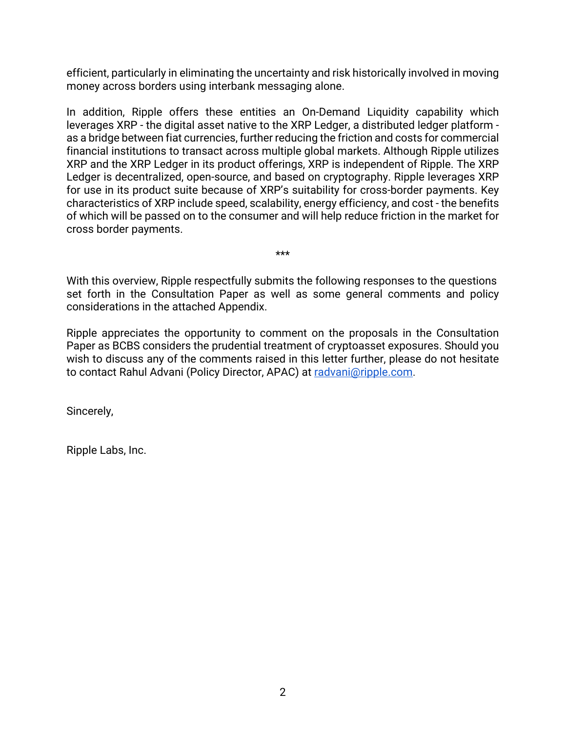efficient, particularly in eliminating the uncertainty and risk historically involved in moving money across borders using interbank messaging alone.

In addition, Ripple offers these entities an On-Demand Liquidity capability which leverages XRP - the digital asset native to the XRP Ledger, a distributed ledger platform as a bridge between fiat currencies, further reducing the friction and costs for commercial financial institutions to transact across multiple global markets. Although Ripple utilizes XRP and the XRP Ledger in its product offerings, XRP is independent of Ripple. The XRP Ledger is decentralized, open-source, and based on cryptography. Ripple leverages XRP for use in its product suite because of XRP's suitability for cross-border payments. Key characteristics of XRP include speed, scalability, energy efficiency, and cost - the benefits of which will be passed on to the consumer and will help reduce friction in the market for cross border payments.

With this overview, Ripple respectfully submits the following responses to the questions set forth in the Consultation Paper as well as some general comments and policy considerations in the attached Appendix.

\*\*\*

Ripple appreciates the opportunity to comment on the proposals in the Consultation Paper as BCBS considers the prudential treatment of cryptoasset exposures. Should you wish to discuss any of the comments raised in this letter further, please do not hesitate to contact Rahul Advani (Policy Director, APAC) at radvani@ripple.com.

Sincerely,

Ripple Labs, Inc.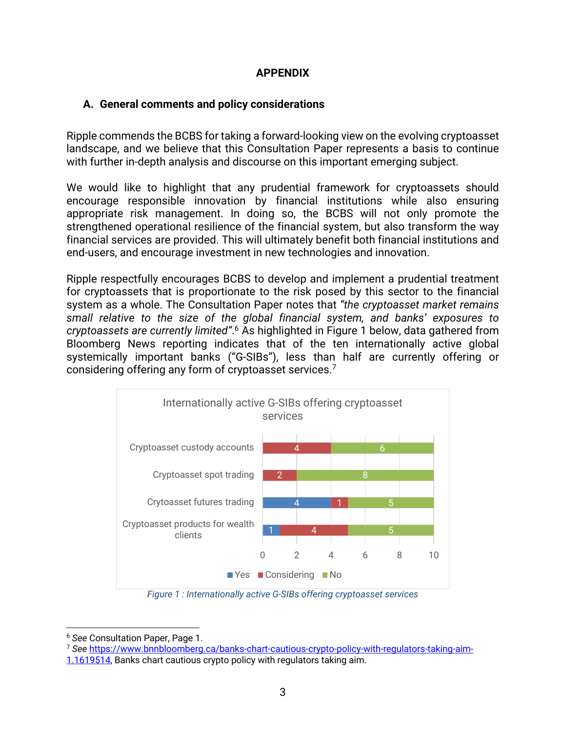## **APPENDIX**

## **A. General comments and policy considerations**

Ripple commends the BCBS for taking a forward-looking view on the evolving cryptoasset landscape, and we believe that this Consultation Paper represents a basis to continue with further in-depth analysis and discourse on this important emerging subject.

We would like to highlight that any prudential framework for cryptoassets should encourage responsible innovation by financial institutions while also ensuring appropriate risk management. In doing so, the BCBS will not only promote the strengthened operational resilience of the financial system, but also transform the way financial services are provided. This will ultimately benefit both financial institutions and end-users, and encourage investment in new technologies and innovation.

Ripple respectfully encourages BCBS to develop and implement a prudential treatment for cryptoassets that is proportionate to the risk posed by this sector to the financial system as a whole. The Consultation Paper notes that *"the cryptoasset market remains small relative to the size of the global financial system, and banks' exposures to cryptoassets are currently limited"*. <sup>6</sup> As highlighted in Figure 1 below, data gathered from Bloomberg News reporting indicates that of the ten internationally active global systemically important banks ("G-SIBs"), less than half are currently offering or considering offering any form of cryptoasset services.7



*Figure 1 : Internationally active G-SIBs offering cryptoasset services*

<sup>6</sup> *See* Consultation Paper, Page 1.

<sup>7</sup> *See* https://www.bnnbloomberg.ca/banks-chart-cautious-crypto-policy-with-regulators-taking-aim-

<sup>1.1619514,</sup> Banks chart cautious crypto policy with regulators taking aim.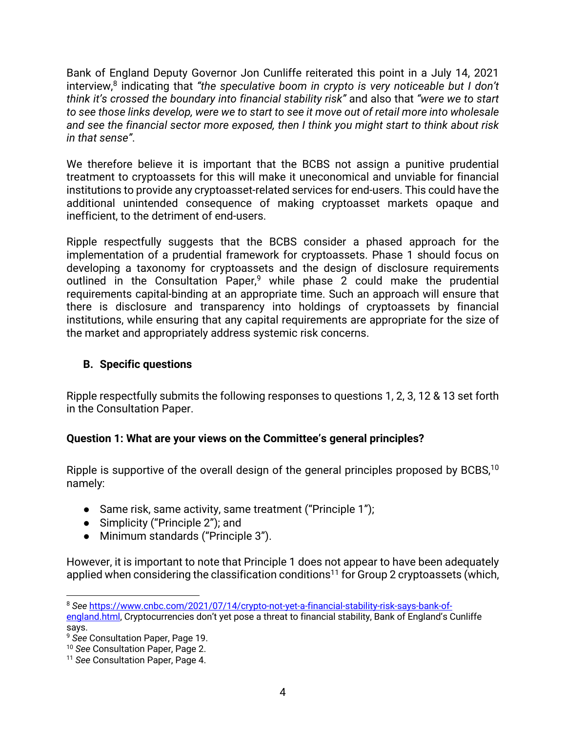Bank of England Deputy Governor Jon Cunliffe reiterated this point in a July 14, 2021 interview,<sup>8</sup> indicating that "the speculative boom in crypto is very noticeable but I don't *think it's crossed the boundary into financial stability risk"* and also that *"were we to start to see those links develop, were we to start to see it move out of retail more into wholesale and see the financial sector more exposed, then I think you might start to think about risk in that sense"*.

We therefore believe it is important that the BCBS not assign a punitive prudential treatment to cryptoassets for this will make it uneconomical and unviable for financial institutions to provide any cryptoasset-related services for end-users. This could have the additional unintended consequence of making cryptoasset markets opaque and inefficient, to the detriment of end-users.

Ripple respectfully suggests that the BCBS consider a phased approach for the implementation of a prudential framework for cryptoassets. Phase 1 should focus on developing a taxonomy for cryptoassets and the design of disclosure requirements outlined in the Consultation Paper,<sup>9</sup> while phase 2 could make the prudential requirements capital-binding at an appropriate time. Such an approach will ensure that there is disclosure and transparency into holdings of cryptoassets by financial institutions, while ensuring that any capital requirements are appropriate for the size of the market and appropriately address systemic risk concerns.

## **B. Specific questions**

Ripple respectfully submits the following responses to questions 1, 2, 3, 12 & 13 set forth in the Consultation Paper.

# **Question 1: What are your views on the Committee's general principles?**

Ripple is supportive of the overall design of the general principles proposed by BCBS,<sup>10</sup> namely:

- Same risk, same activity, same treatment ("Principle 1");
- Simplicity ("Principle 2"); and
- Minimum standards ("Principle 3").

However, it is important to note that Principle 1 does not appear to have been adequately applied when considering the classification conditions<sup>11</sup> for Group 2 cryptoassets (which,

<sup>8</sup> *See* https://www.cnbc.com/2021/07/14/crypto-not-yet-a-financial-stability-risk-says-bank-ofengland.html, Cryptocurrencies don't yet pose a threat to financial stability, Bank of England's Cunliffe says.

<sup>9</sup> *See* Consultation Paper, Page 19.

<sup>10</sup> *See* Consultation Paper, Page 2.

<sup>11</sup> *See* Consultation Paper, Page 4.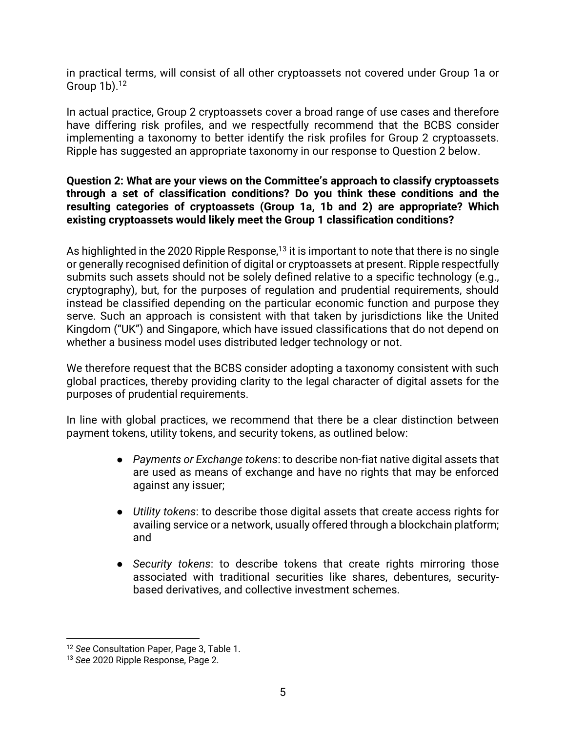in practical terms, will consist of all other cryptoassets not covered under Group 1a or Group  $1b$ ).<sup>12</sup>

In actual practice, Group 2 cryptoassets cover a broad range of use cases and therefore have differing risk profiles, and we respectfully recommend that the BCBS consider implementing a taxonomy to better identify the risk profiles for Group 2 cryptoassets. Ripple has suggested an appropriate taxonomy in our response to Question 2 below.

### **Question 2: What are your views on the Committee's approach to classify cryptoassets through a set of classification conditions? Do you think these conditions and the resulting categories of cryptoassets (Group 1a, 1b and 2) are appropriate? Which existing cryptoassets would likely meet the Group 1 classification conditions?**

As highlighted in the 2020 Ripple Response,<sup>13</sup> it is important to note that there is no single or generally recognised definition of digital or cryptoassets at present. Ripple respectfully submits such assets should not be solely defined relative to a specific technology (e.g., cryptography), but, for the purposes of regulation and prudential requirements, should instead be classified depending on the particular economic function and purpose they serve. Such an approach is consistent with that taken by jurisdictions like the United Kingdom ("UK") and Singapore, which have issued classifications that do not depend on whether a business model uses distributed ledger technology or not.

We therefore request that the BCBS consider adopting a taxonomy consistent with such global practices, thereby providing clarity to the legal character of digital assets for the purposes of prudential requirements.

In line with global practices, we recommend that there be a clear distinction between payment tokens, utility tokens, and security tokens, as outlined below:

- *Payments or Exchange tokens*: to describe non-fiat native digital assets that are used as means of exchange and have no rights that may be enforced against any issuer;
- *Utility tokens*: to describe those digital assets that create access rights for availing service or a network, usually offered through a blockchain platform; and
- *Security tokens*: to describe tokens that create rights mirroring those associated with traditional securities like shares, debentures, securitybased derivatives, and collective investment schemes.

<sup>12</sup> *See* Consultation Paper, Page 3, Table 1.

<sup>13</sup> *See* 2020 Ripple Response, Page 2.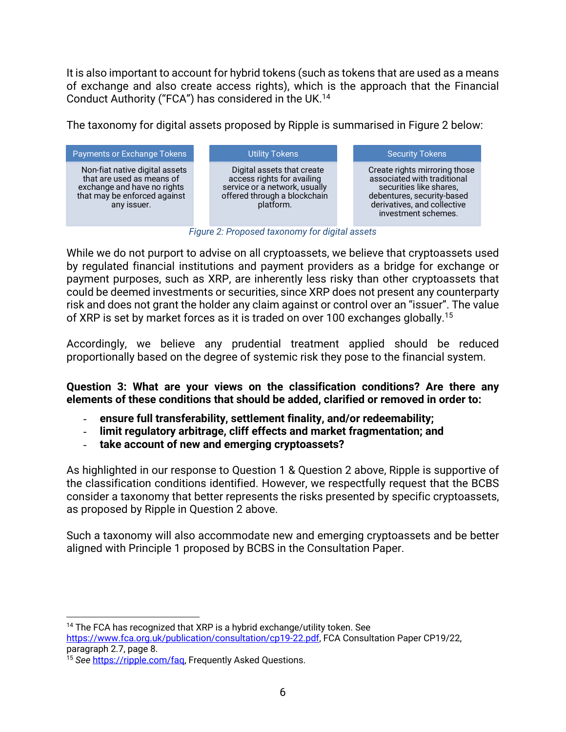It is also important to account for hybrid tokens (such as tokens that are used as a means of exchange and also create access rights), which is the approach that the Financial Conduct Authority ("FCA") has considered in the UK.14

The taxonomy for digital assets proposed by Ripple is summarised in Figure 2 below:



*Figure 2: Proposed taxonomy for digital assets*

While we do not purport to advise on all cryptoassets, we believe that cryptoassets used by regulated financial institutions and payment providers as a bridge for exchange or payment purposes, such as XRP, are inherently less risky than other cryptoassets that could be deemed investments or securities, since XRP does not present any counterparty risk and does not grant the holder any claim against or control over an "issuer". The value of XRP is set by market forces as it is traded on over 100 exchanges globally.15

Accordingly, we believe any prudential treatment applied should be reduced proportionally based on the degree of systemic risk they pose to the financial system.

**Question 3: What are your views on the classification conditions? Are there any elements of these conditions that should be added, clarified or removed in order to:** 

- **ensure full transferability, settlement finality, and/or redeemability;**
- **limit regulatory arbitrage, cliff effects and market fragmentation; and**
- **take account of new and emerging cryptoassets?**

As highlighted in our response to Question 1 & Question 2 above, Ripple is supportive of the classification conditions identified. However, we respectfully request that the BCBS consider a taxonomy that better represents the risks presented by specific cryptoassets, as proposed by Ripple in Question 2 above.

Such a taxonomy will also accommodate new and emerging cryptoassets and be better aligned with Principle 1 proposed by BCBS in the Consultation Paper.

<sup>14</sup> The FCA has recognized that XRP is a hybrid exchange/utility token. See

https://www.fca.org.uk/publication/consultation/cp19-22.pdf, FCA Consultation Paper CP19/22, paragraph 2.7, page 8.

<sup>15</sup> *See* https://ripple.com/faq, Frequently Asked Questions.